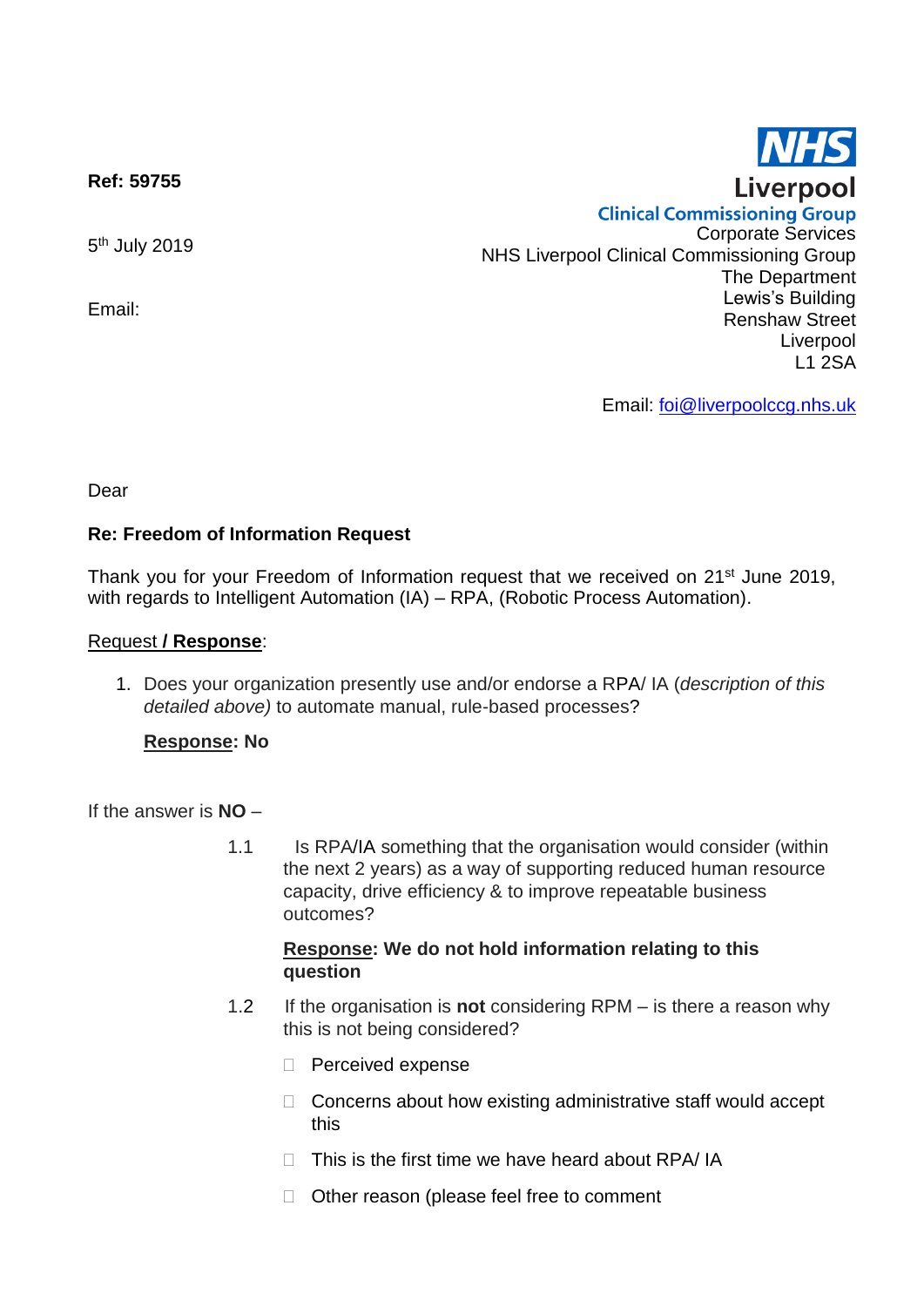**Ref: 59755**

5<sup>th</sup> July 2019

Email:

**Clinical Commissioning Group** Corporate Services NHS Liverpool Clinical Commissioning Group The Department Lewis's Building Renshaw Street Liverpool L1 2SA

Email: [foi@liverpoolccg.nhs.uk](mailto:foi@liverpoolccg.nhs.uk)

Dear

### **Re: Freedom of Information Request**

Thank you for your Freedom of Information request that we received on 21<sup>st</sup> June 2019, with regards to Intelligent Automation (IA) – RPA, (Robotic Process Automation).

#### Request **/ Response**:

1. Does your organization presently use and/or endorse a RPA/ IA (*description of this detailed above)* to automate manual, rule-based processes?

### **Response: No**

### If the answer is **NO** –

1.1 Is RPA/IA something that the organisation would consider (within the next 2 years) as a way of supporting reduced human resource capacity, drive efficiency & to improve repeatable business outcomes?

### **Response: We do not hold information relating to this question**

- 1.2 If the organisation is **not** considering RPM is there a reason why this is not being considered?
	- **Perceived expense**
	- $\Box$  Concerns about how existing administrative staff would accept this
	- $\Box$  This is the first time we have heard about RPA/ IA
	- □ Other reason (please feel free to comment

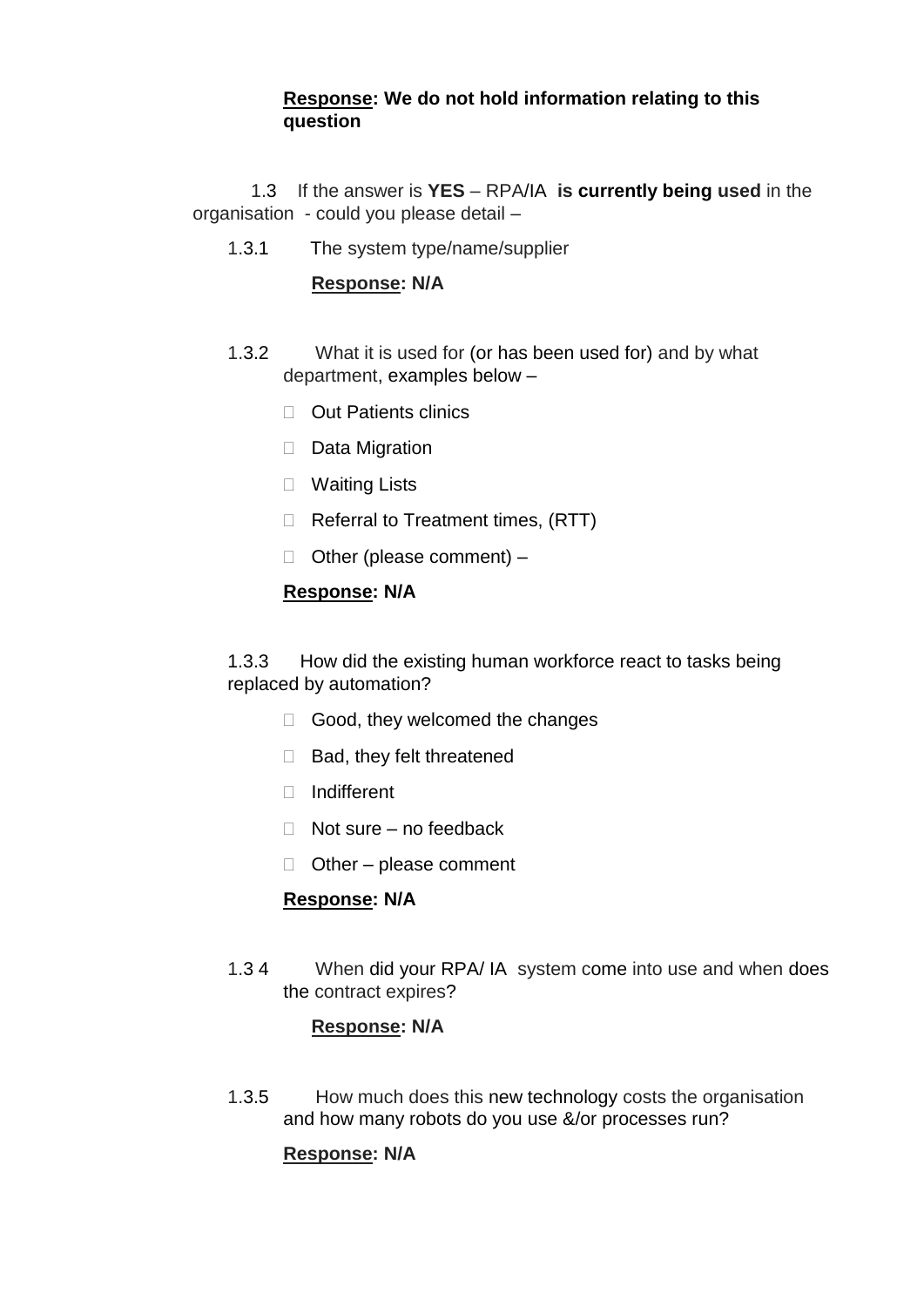# **Response: We do not hold information relating to this question**

 1.3 If the answer is **YES** – RPA/IA **is currently being used** in the organisation - could you please detail –

1.3.1 The system type/name/supplier

## **Response: N/A**

- 1.3.2 What it is used for (or has been used for) and by what department, examples below –
	- □ Out Patients clinics
	- $\Box$  Data Migration
	- D Waiting Lists
	- $\Box$  Referral to Treatment times, (RTT)
	- □ Other (please comment) –

# **Response: N/A**

1.3.3 How did the existing human workforce react to tasks being replaced by automation?

- $\Box$  Good, they welcomed the changes
- $\Box$  Bad, they felt threatened
- □ Indifferent
- $\Box$  Not sure no feedback
- $\Box$  Other please comment

# **Response: N/A**

1.3 4 When did your RPA/ IA system come into use and when does the contract expires?

### **Response: N/A**

1.3.5 How much does this new technology costs the organisation and how many robots do you use &/or processes run?

# **Response: N/A**